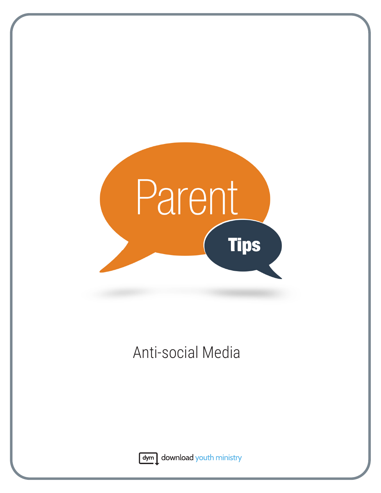

# Anti-social Media



dym download youth ministry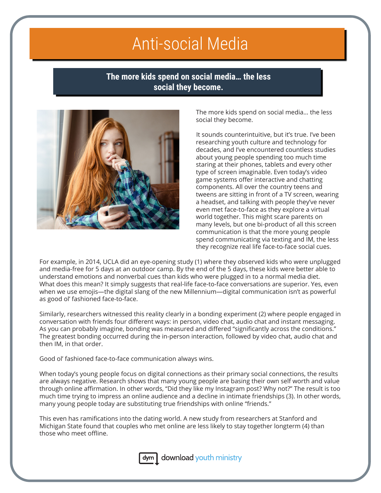## Anti-social Media

## **The more kids spend on social media… the less social they become.**



The more kids spend on social media… the less social they become.

It sounds counterintuitive, but it's true. I've been researching youth culture and technology for decades, and I've encountered countless studies about young people spending too much time staring at their phones, tablets and every other type of screen imaginable. Even today's video game systems offer interactive and chatting components. All over the country teens and tweens are sitting in front of a TV screen, wearing a headset, and talking with people they've never even met face-to-face as they explore a virtual world together. This might scare parents on many levels, but one bi-product of all this screen communication is that the more young people spend communicating via texting and IM, the less they recognize real life face-to-face social cues.

For example, in 2014, UCLA did an eye-opening study (1) where they observed kids who were unplugged and media-free for 5 days at an outdoor camp. By the end of the 5 days, these kids were better able to understand emotions and nonverbal cues than kids who were plugged in to a normal media diet. What does this mean? It simply suggests that real-life face-to-face conversations are superior. Yes, even when we use emojis—the digital slang of the new Millennium—digital communication isn't as powerful as good ol' fashioned face-to-face.

Similarly, researchers witnessed this reality clearly in a bonding experiment (2) where people engaged in conversation with friends four different ways: in person, video chat, audio chat and instant messaging. As you can probably imagine, bonding was measured and differed "significantly across the conditions." The greatest bonding occurred during the in-person interaction, followed by video chat, audio chat and then IM, in that order.

Good ol' fashioned face-to-face communication always wins.

When today's young people focus on digital connections as their primary social connections, the results are always negative. Research shows that many young people are basing their own self worth and value through online affirmation. In other words, "Did they like my Instagram post? Why not?" The result is too much time trying to impress an online audience and a decline in intimate friendships (3). In other words, many young people today are substituting true friendships with online "friends."

This even has ramifications into the dating world. A new study from researchers at Stanford and Michigan State found that couples who met online are less likely to stay together longterm (4) than those who meet offline.